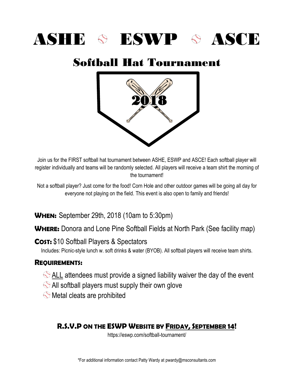# ASHE & ESWP & ASCE

## Softball Hat Tournament



Join us for the FIRST softball hat tournament between ASHE, ESWP and ASCE! Each softball player will register individually and teams will be randomly selected. All players will receive a team shirt the morning of the tournament!

Not a softball player? Just come for the food! Corn Hole and other outdoor games will be going all day for everyone not playing on the field. This event is also open to family and friends!

**WHEN:** September 29th, 2018 (10am to 5:30pm)

**WHERE:** Donora and Lone Pine Softball Fields at North Park (See facility map)

**COST:** \$10 Softball Players & Spectators

Includes: Picnic-style lunch w. soft drinks & water (BYOB). All softball players will receive team shirts.

## **REQUIREMENTS:**

- $\Diamond$  ALL attendees must provide a signed liability waiver the day of the event
- $\Diamond$  All softball players must supply their own glove
- $\Diamond$  Metal cleats are prohibited

## **R.S.V.P ON THE ESWP WEBSITE BY FRIDAY, SEPTEMBER 14!**

https://eswp.com/softball-tournament/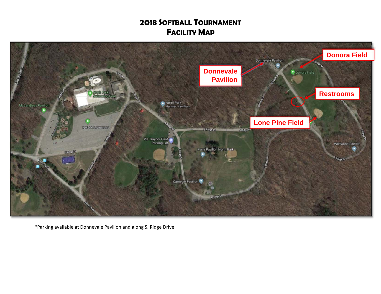## **2018 SOFTBALL TOURNAMENT FACILITY MAP**



\*Parking available at Donnevale Pavilion and along S. Ridge Drive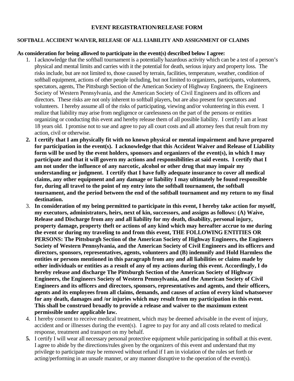#### **EVENT REGISTRATION/RELEASE FORM**

#### **SOFTBALL ACCIDENT WAIVER, RELEASE OF ALL LIABILITY AND ASSIGNMENT OF CLAIMS**

#### **As consideration for being allowed to participate in the event(s) described below I agree:**

- 1. I acknowledge that the softball tournament is a potentially hazardous activity which can be a test of a person's physical and mental limits and carries with it the potential for death, serious injury and property loss. The risks include, but are not limited to, those caused by terrain, facilities, temperature, weather, condition of softball equipment, actions of other people including, but not limited to organizers, participants, volunteers, spectators, agents, The Pittsburgh Section of the American Society of Highway Engineers, the Engineers Society of Western Pennsylvania, and the American Society of Civil Engineers and its officers and directors. These risks are not only inherent to softball players, but are also present for spectators and volunteers. I hereby assume all of the risks of participating, viewing and/or volunteering in this event. I realize that liability may arise from negligence or carelessness on the part of the persons or entities organizing or conducting this event and hereby release them of all possible liability. I certify I am at least 18 years old. I promise not to sue and agree to pay all court costs and all attorney fees that result from my action, civil or otherwise.
- **2. I certify that I am physically fit with no known physical or mental impairment and have prepared for participation in the event(s). I acknowledge that this Accident Waiver and Release of Liability form will be used by the event holders, sponsors and organizers of the event(s), in which I may participate and that it will govern my actions and responsibilities at said events. I certify that I am not under the influence of any narcotic, alcohol or other drug that may impair my understanding or judgment. I certify that I have fully adequate insurance to cover all medical claims, any other equipment and any damage or liability I may ultimately be found responsible for, during all travel to the point of my entry into the softball tournament, the softball tournament, and the period between the end of the softball tournament and my return to my final destination.**
- 3. **In consideration of my being permitted to participate in this event, I hereby take action for myself, my executors, administrators, heirs, next of kin, successors, and assigns as follows: (A) Waive, Release and Discharge from any and all liability for my death, disability, personal injury, property damage, property theft or actions of any kind which may hereafter accrue to me during the event or during my traveling to and from this event, THE FOLLOWING ENTITIES OR PERSONS: The Pittsburgh Section of the American Society of Highway Engineers, the Engineers Society of Western Pennsylvania, and the American Society of Civil Engineers and its officers and directors, sponsors, representatives, agents, volunteers and (B) indemnify and Hold Harmless the entities or persons mentioned in this paragraph from any and all liabilities or claims made by other individuals or entities as a result of any of my actions during this event. Accordingly, I do hereby release and discharge The Pittsburgh Section of the American Society of Highway Engineers, the Engineers Society of Western Pennsylvania, and the American Society of Civil Engineers and its officers and directors, sponsors, representatives and agents, and their officers, agents and its employees from all claims, demands, and causes of action of every kind whatsoever for any death, damages and /or injuries which may result from my participation in this event. This shall be construed broadly to provide a release and waiver to the maximum extent permissible under applicable law.**
- 4. I hereby consent to receive medical treatment, which may be deemed advisable in the event of injury, accident and or illnesses during the event(s). I agree to pay for any and all costs related to medical response, treatment and transport on my behalf.
- **5.** I certify I will wear all necessary personal protective equipment while participating in softball at this event. I agree to abide by the directions/rules given by the organizers of this event and understand that my privilege to participate may be removed without refund if I am in violation of the rules set forth or acting/performing in an unsafe manner, or any manner disruptive to the operation of the event(s).